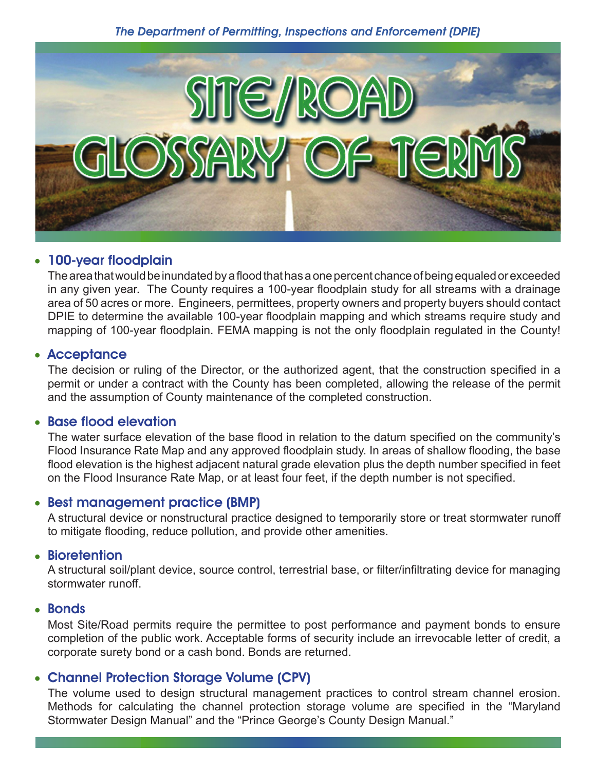

# • 100-year floodplain

The area that would be inundated by a flood that has a one percent chance of being equaled or exceeded in any given year. The County requires a 100-year floodplain study for all streams with a drainage area of 50 acres or more. Engineers, permittees, property owners and property buyers should contact DPIE to determine the available 100-year floodplain mapping and which streams require study and mapping of 100-year floodplain. FEMA mapping is not the only floodplain regulated in the County!

## • Acceptance

The decision or ruling of the Director, or the authorized agent, that the construction specified in a permit or under a contract with the County has been completed, allowing the release of the permit and the assumption of County maintenance of the completed construction.

### • Base flood elevation

The water surface elevation of the base flood in relation to the datum specified on the community's Flood Insurance Rate Map and any approved floodplain study. In areas of shallow flooding, the base flood elevation is the highest adjacent natural grade elevation plus the depth number specified in feet on the Flood Insurance Rate Map, or at least four feet, if the depth number is not specified.

## • Best management practice (BMP)

A structural device or nonstructural practice designed to temporarily store or treat stormwater runoff to mitigate flooding, reduce pollution, and provide other amenities.

#### • Bioretention

A structural soil/plant device, source control, terrestrial base, or filter/infiltrating device for managing stormwater runoff.

#### • Bonds

Most Site/Road permits require the permittee to post performance and payment bonds to ensure completion of the public work. Acceptable forms of security include an irrevocable letter of credit, a corporate surety bond or a cash bond. Bonds are returned.

## • Channel Protection Storage Volume (CPV)

The volume used to design structural management practices to control stream channel erosion. Methods for calculating the channel protection storage volume are specified in the "Maryland Stormwater Design Manual" and the "Prince George's County Design Manual."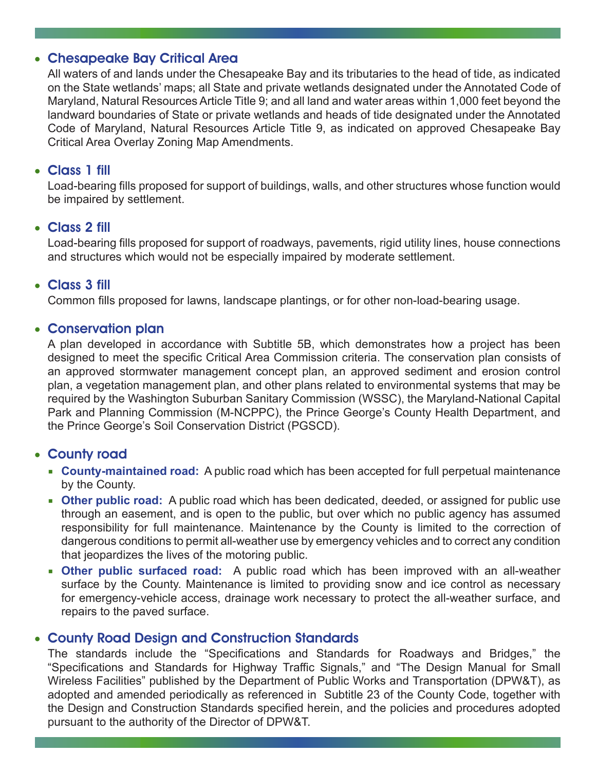# • Chesapeake Bay Critical Area

All waters of and lands under the Chesapeake Bay and its tributaries to the head of tide, as indicated on the State wetlands' maps; all State and private wetlands designated under the Annotated Code of Maryland, Natural Resources Article Title 9; and all land and water areas within 1,000 feet beyond the landward boundaries of State or private wetlands and heads of tide designated under the Annotated Code of Maryland, Natural Resources Article Title 9, as indicated on approved Chesapeake Bay Critical Area Overlay Zoning Map Amendments.

## • Class 1 fill

Load-bearing fills proposed for support of buildings, walls, and other structures whose function would be impaired by settlement.

### • Class 2 fill

Load-bearing fills proposed for support of roadways, pavements, rigid utility lines, house connections and structures which would not be especially impaired by moderate settlement.

### • Class 3 fill

Common fills proposed for lawns, landscape plantings, or for other non-load-bearing usage.

### • Conservation plan

A plan developed in accordance with Subtitle 5B, which demonstrates how a project has been designed to meet the specific Critical Area Commission criteria. The conservation plan consists of an approved stormwater management concept plan, an approved sediment and erosion control plan, a vegetation management plan, and other plans related to environmental systems that may be required by the Washington Suburban Sanitary Commission (WSSC), the Maryland-National Capital Park and Planning Commission (M-NCPPC), the Prince George's County Health Department, and the Prince George's Soil Conservation District (PGSCD).

## • County road

- **County-maintained road:** A public road which has been accepted for full perpetual maintenance by the County.
- **Other public road:** A public road which has been dedicated, deeded, or assigned for public use through an easement, and is open to the public, but over which no public agency has assumed responsibility for full maintenance. Maintenance by the County is limited to the correction of dangerous conditions to permit all-weather use by emergency vehicles and to correct any condition that jeopardizes the lives of the motoring public.
- **Other public surfaced road:** A public road which has been improved with an all-weather surface by the County. Maintenance is limited to providing snow and ice control as necessary for emergency-vehicle access, drainage work necessary to protect the all-weather surface, and repairs to the paved surface.

# • County Road Design and Construction Standards

The standards include the "Specifications and Standards for Roadways and Bridges," the "Specifications and Standards for Highway Traffic Signals," and "The Design Manual for Small Wireless Facilities" published by the Department of Public Works and Transportation (DPW&T), as adopted and amended periodically as referenced in Subtitle 23 of the County Code, together with the Design and Construction Standards specified herein, and the policies and procedures adopted pursuant to the authority of the Director of DPW&T.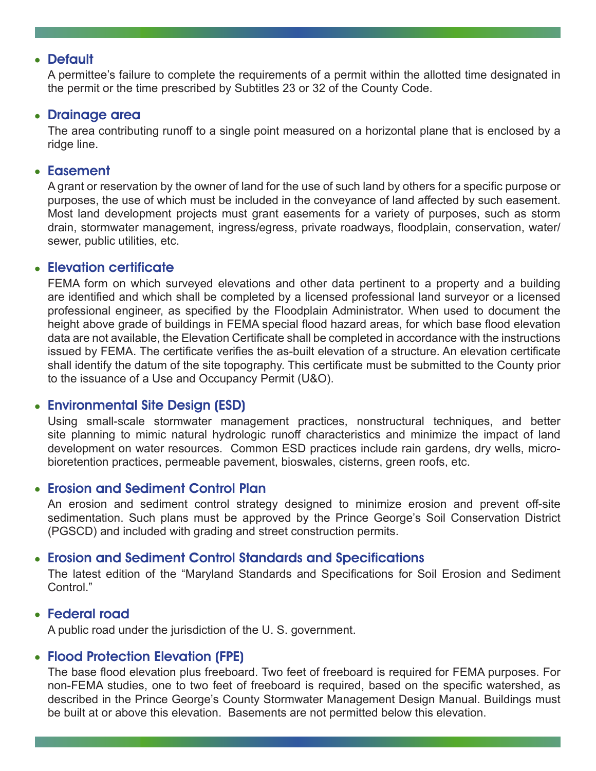#### • Default

A permittee's failure to complete the requirements of a permit within the allotted time designated in the permit or the time prescribed by Subtitles 23 or 32 of the County Code.

#### • Drainage area

The area contributing runoff to a single point measured on a horizontal plane that is enclosed by a ridge line.

#### • Easement

A grant or reservation by the owner of land for the use of such land by others for a specific purpose or purposes, the use of which must be included in the conveyance of land affected by such easement. Most land development projects must grant easements for a variety of purposes, such as storm drain, stormwater management, ingress/egress, private roadways, floodplain, conservation, water/ sewer, public utilities, etc.

### • Elevation certificate

FEMA form on which surveyed elevations and other data pertinent to a property and a building are identified and which shall be completed by a licensed professional land surveyor or a licensed professional engineer, as specified by the Floodplain Administrator. When used to document the height above grade of buildings in FEMA special flood hazard areas, for which base flood elevation data are not available, the Elevation Certificate shall be completed in accordance with the instructions issued by FEMA. The certificate verifies the as-built elevation of a structure. An elevation certificate shall identify the datum of the site topography. This certificate must be submitted to the County prior to the issuance of a Use and Occupancy Permit (U&O).

## • Environmental Site Design (ESD)

Using small-scale stormwater management practices, nonstructural techniques, and better site planning to mimic natural hydrologic runoff characteristics and minimize the impact of land development on water resources. Common ESD practices include rain gardens, dry wells, microbioretention practices, permeable pavement, bioswales, cisterns, green roofs, etc.

## • Erosion and Sediment Control Plan

An erosion and sediment control strategy designed to minimize erosion and prevent off-site sedimentation. Such plans must be approved by the Prince George's Soil Conservation District (PGSCD) and included with grading and street construction permits.

## • Erosion and Sediment Control Standards and Specifications

The latest edition of the "Maryland Standards and Specifications for Soil Erosion and Sediment Control."

#### • Federal road

A public road under the jurisdiction of the U. S. government.

## • Flood Protection Elevation (FPE)

The base flood elevation plus freeboard. Two feet of freeboard is required for FEMA purposes. For non-FEMA studies, one to two feet of freeboard is required, based on the specific watershed, as described in the Prince George's County Stormwater Management Design Manual. Buildings must be built at or above this elevation. Basements are not permitted below this elevation.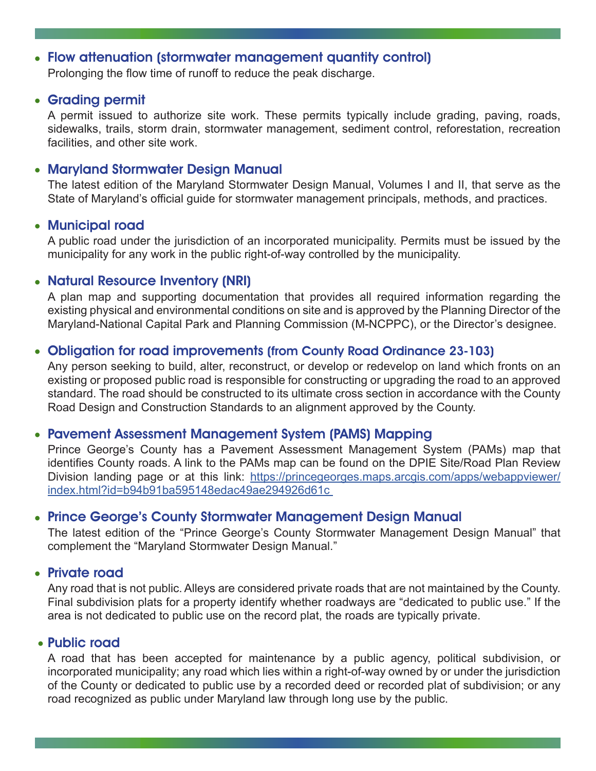# • Flow attenuation (stormwater management quantity control)

Prolonging the flow time of runoff to reduce the peak discharge.

## • Grading permit

A permit issued to authorize site work. These permits typically include grading, paving, roads, sidewalks, trails, storm drain, stormwater management, sediment control, reforestation, recreation facilities, and other site work.

# • Maryland Stormwater Design Manual

The latest edition of the Maryland Stormwater Design Manual, Volumes I and II, that serve as the State of Maryland's official guide for stormwater management principals, methods, and practices.

## • Municipal road

A public road under the jurisdiction of an incorporated municipality. Permits must be issued by the municipality for any work in the public right-of-way controlled by the municipality.

# • Natural Resource Inventory (NRI)

A plan map and supporting documentation that provides all required information regarding the existing physical and environmental conditions on site and is approved by the Planning Director of the Maryland-National Capital Park and Planning Commission (M-NCPPC), or the Director's designee.

## • Obligation for road improvements (from County Road Ordinance 23-103)

Any person seeking to build, alter, reconstruct, or develop or redevelop on land which fronts on an existing or proposed public road is responsible for constructing or upgrading the road to an approved standard. The road should be constructed to its ultimate cross section in accordance with the County Road Design and Construction Standards to an alignment approved by the County.

## • Pavement Assessment Management System (PAMS) Mapping

Prince George's County has a Pavement Assessment Management System (PAMs) map that identifies County roads. A link to the PAMs map can be found on the DPIE Site/Road Plan Review Division landing page or at this link: [https://princegeorges.maps.arcgis.com/apps/webappviewer/](https://princegeorges.maps.arcgis.com/apps/webappviewer/index.html?id=b94b91ba595148edac49ae294926d6) [index.html?id=b94b91ba595148edac49ae294926d61c](https://princegeorges.maps.arcgis.com/apps/webappviewer/index.html?id=b94b91ba595148edac49ae294926d6) 

# • Prince George's County Stormwater Management Design Manual

The latest edition of the "Prince George's County Stormwater Management Design Manual" that complement the "Maryland Stormwater Design Manual."

## • Private road

Any road that is not public. Alleys are considered private roads that are not maintained by the County. Final subdivision plats for a property identify whether roadways are "dedicated to public use." If the area is not dedicated to public use on the record plat, the roads are typically private.

## • Public road

A road that has been accepted for maintenance by a public agency, political subdivision, or incorporated municipality; any road which lies within a right-of-way owned by or under the jurisdiction of the County or dedicated to public use by a recorded deed or recorded plat of subdivision; or any road recognized as public under Maryland law through long use by the public.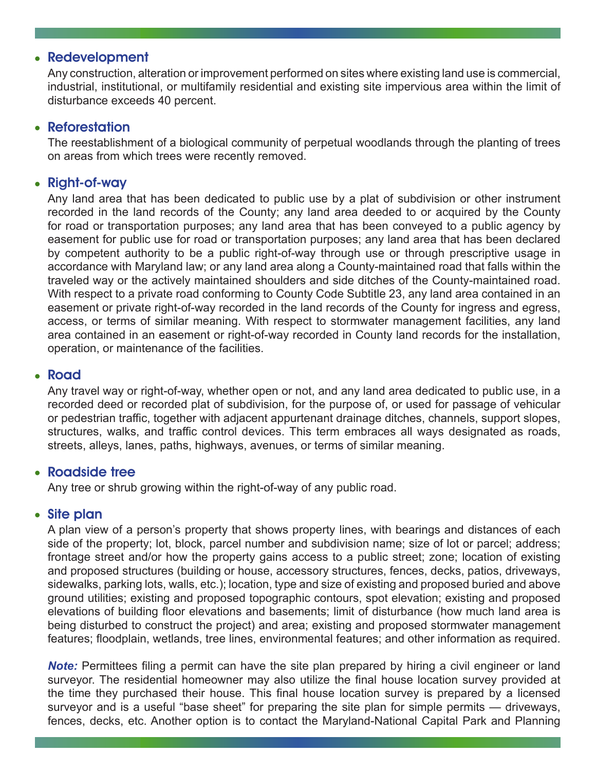# • Redevelopment

Any construction, alteration or improvement performed on sites where existing land use is commercial, industrial, institutional, or multifamily residential and existing site impervious area within the limit of disturbance exceeds 40 percent.

### • Reforestation

The reestablishment of a biological community of perpetual woodlands through the planting of trees on areas from which trees were recently removed.

### • Right-of-way

Any land area that has been dedicated to public use by a plat of subdivision or other instrument recorded in the land records of the County; any land area deeded to or acquired by the County for road or transportation purposes; any land area that has been conveyed to a public agency by easement for public use for road or transportation purposes; any land area that has been declared by competent authority to be a public right-of-way through use or through prescriptive usage in accordance with Maryland law; or any land area along a County-maintained road that falls within the traveled way or the actively maintained shoulders and side ditches of the County-maintained road. With respect to a private road conforming to County Code Subtitle 23, any land area contained in an easement or private right-of-way recorded in the land records of the County for ingress and egress, access, or terms of similar meaning. With respect to stormwater management facilities, any land area contained in an easement or right-of-way recorded in County land records for the installation, operation, or maintenance of the facilities.

#### <sup>l</sup> Road

Any travel way or right-of-way, whether open or not, and any land area dedicated to public use, in a recorded deed or recorded plat of subdivision, for the purpose of, or used for passage of vehicular or pedestrian traffic, together with adjacent appurtenant drainage ditches, channels, support slopes, structures, walks, and traffic control devices. This term embraces all ways designated as roads, streets, alleys, lanes, paths, highways, avenues, or terms of similar meaning.

#### • Roadside tree

Any tree or shrub growing within the right-of-way of any public road.

#### • Site plan

A plan view of a person's property that shows property lines, with bearings and distances of each side of the property; lot, block, parcel number and subdivision name; size of lot or parcel; address; frontage street and/or how the property gains access to a public street; zone; location of existing and proposed structures (building or house, accessory structures, fences, decks, patios, driveways, sidewalks, parking lots, walls, etc.); location, type and size of existing and proposed buried and above ground utilities; existing and proposed topographic contours, spot elevation; existing and proposed elevations of building floor elevations and basements; limit of disturbance (how much land area is being disturbed to construct the project) and area; existing and proposed stormwater management features; floodplain, wetlands, tree lines, environmental features; and other information as required.

*Note:* Permittees filing a permit can have the site plan prepared by hiring a civil engineer or land surveyor. The residential homeowner may also utilize the final house location survey provided at the time they purchased their house. This final house location survey is prepared by a licensed surveyor and is a useful "base sheet" for preparing the site plan for simple permits — driveways, fences, decks, etc. Another option is to contact the Maryland-National Capital Park and Planning